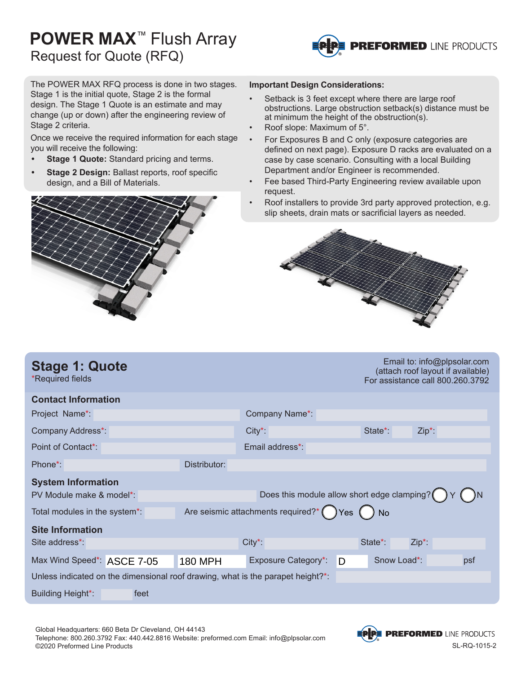## **POWER MAX**™ Flush Array Request for Quote (RFQ)



The POWER MAX RFQ process is done in two stages. Stage 1 is the initial quote, Stage 2 is the formal design. The Stage 1 Quote is an estimate and may change (up or down) after the engineering review of Stage 2 criteria.

Once we receive the required information for each stage you will receive the following:

- **• Stage 1 Quote:** Standard pricing and terms.
- **• Stage 2 Design:** Ballast reports, roof specific design, and a Bill of Materials.



#### **Important Design Considerations:**

- Setback is 3 feet except where there are large roof obstructions. Large obstruction setback(s) distance must be at minimum the height of the obstruction(s).
- Roof slope: Maximum of 5°.
- For Exposures B and C only (exposure categories are defined on next page). Exposure D racks are evaluated on a case by case scenario. Consulting with a local Building Department and/or Engineer is recommended.
- Fee based Third-Party Engineering review available upon request.
- Roof installers to provide 3rd party approved protection, e.g. slip sheets, drain mats or sacrificial layers as needed.



| <b>Stage 1: Quote</b><br>*Required fields                                       |                |                                             |         |                      | Email to: info@plpsolar.com<br>(attach roof layout if available)<br>For assistance call 800.260.3792 |  |
|---------------------------------------------------------------------------------|----------------|---------------------------------------------|---------|----------------------|------------------------------------------------------------------------------------------------------|--|
| <b>Contact Information</b>                                                      |                |                                             |         |                      |                                                                                                      |  |
| Project Name*                                                                   |                | Company Name*                               |         |                      |                                                                                                      |  |
| Company Address*:                                                               |                | $City^*$                                    |         | State <sup>*</sup> : | $Zip^*$ :                                                                                            |  |
| Point of Contact*:                                                              |                | Email address*:                             |         |                      |                                                                                                      |  |
| Phone*:                                                                         | Distributor:   |                                             |         |                      |                                                                                                      |  |
| <b>System Information</b>                                                       |                |                                             |         |                      |                                                                                                      |  |
| PV Module make & model*:                                                        |                | Does this module allow short edge clamping? |         |                      |                                                                                                      |  |
| Total modules in the system*:                                                   |                | Are seismic attachments required?*          | $Yes$ ( | ) No                 |                                                                                                      |  |
| <b>Site Information</b>                                                         |                |                                             |         |                      |                                                                                                      |  |
| Site address*:                                                                  |                | $City^*$                                    |         | State*:              | $Zip*$ :                                                                                             |  |
| Max Wind Speed*: ASCE 7-05                                                      | <b>180 MPH</b> | <b>Exposure Category*:</b>                  | D       | Snow Load*:          | psf                                                                                                  |  |
| Unless indicated on the dimensional roof drawing, what is the parapet height?*: |                |                                             |         |                      |                                                                                                      |  |
| Building Height*:<br>feet                                                       |                |                                             |         |                      |                                                                                                      |  |